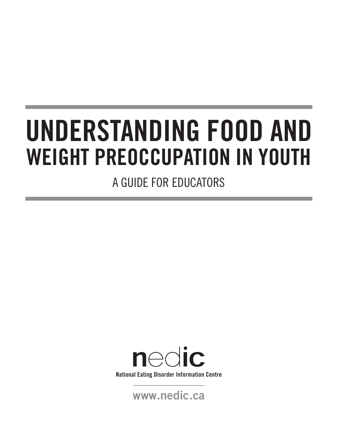# **UNDERSTANDING FOOD AND WEIGHT PREOCCUPATION IN YOUTH**

A GUIDE FOR EDUCATORS



**www.nedic.ca**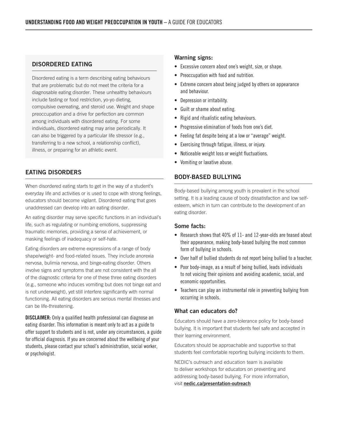# **DISORDERED EATING**

Disordered eating is a term describing eating behaviours that are problematic but do not meet the criteria for a diagnosable eating disorder. These unhealthy behaviours include fasting or food restriction, yo-yo dieting, compulsive overeating, and steroid use. Weight and shape preoccupation and a drive for perfection are common among individuals with disordered eating. For some individuals, disordered eating may arise periodically. It can also be triggered by a particular life stressor (e.g., transferring to a new school, a relationship conflict), illness, or preparing for an athletic event.

# **EATING DISORDERS**

When disordered eating starts to get in the way of a student's everyday life and activities or is used to cope with strong feelings, educators should become vigilant. Disordered eating that goes unaddressed can develop into an eating disorder.

An eating disorder may serve specific functions in an individual's life, such as regulating or numbing emotions, suppressing traumatic memories, providing a sense of achievement, or masking feelings of inadequacy or self-hate.

Eating disorders are extreme expressions of a range of body shape/weight- and food-related issues. They include anorexia nervosa, bulimia nervosa, and binge-eating disorder. Others involve signs and symptoms that are not consistent with the all of the diagnostic criteria for one of these three eating disorders (e.g., someone who induces vomiting but does not binge eat and is not underweight), yet still interfere significantly with normal functioning. All eating disorders are serious mental illnesses and can be life-threatening.

**DISCLAIMER:** Only a qualified health professional can diagnose an eating disorder. This information is meant only to act as a guide to offer support to students and is not, under any circumstances, a guide for official diagnosis. If you are concerned about the wellbeing of your students, please contact your school's administration, social worker, or psychologist.

# **Warning signs:**

- Excessive concern about one's weight, size, or shape.
- Preoccupation with food and nutrition.
- Extreme concern about being judged by others on appearance and behaviour.
- Depression or irritability.
- Guilt or shame about eating.
- Rigid and ritualistic eating behaviours.
- Progressive elimination of foods from one's diet.
- Feeling fat despite being at a low or "average" weight.
- Exercising through fatigue, illness, or injury.
- Noticeable weight loss or weight fluctuations.
- Vomiting or laxative abuse.

# **BODY-BASED BULLYING**

Body-based bullying among youth is prevalent in the school setting. It is a leading cause of body dissatisfaction and low selfesteem, which in turn can contribute to the development of an eating disorder.

#### **Some facts:**

- Research shows that 40% of 11- and 12-year-olds are teased about their appearance, making body-based bullying the most common form of bullying in schools.
- Over half of bullied students do not report being bullied to a teacher.
- Poor body-image, as a result of being bullied, leads individuals to not voicing their opinions and avoiding academic, social, and economic opportunities.
- Teachers can play an instrumental role in preventing bullying from occurring in schools.

#### **What can educators do?**

Educators should have a zero-tolerance policy for body-based bullying. It is important that students feel safe and accepted in their learning environment.

Educators should be approachable and supportive so that students feel comfortable reporting bullying incidents to them.

NEDIC's outreach and education team is available to deliver workshops for educators on preventing and addressing body-based bullying. For more information, visit **[nedic.ca/presentation-outreach](https://nedic.ca/presentation-outreach/)**